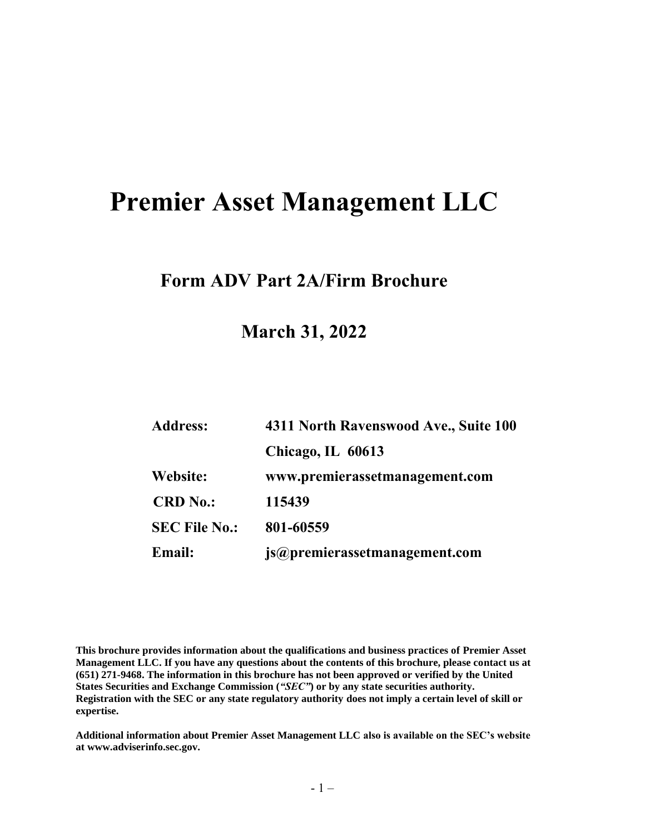# **Premier Asset Management LLC**

## **Form ADV Part 2A/Firm Brochure**

**March 31, 2022**

| <b>Address:</b>      | 4311 North Ravenswood Ave., Suite 100 |
|----------------------|---------------------------------------|
|                      | Chicago, IL 60613                     |
| Website:             | www.premierassetmanagement.com        |
| <b>CRD</b> No.:      | 115439                                |
| <b>SEC File No.:</b> | 801-60559                             |
| Email:               | js@premierassetmanagement.com         |

**This brochure provides information about the qualifications and business practices of Premier Asset Management LLC. If you have any questions about the contents of this brochure, please contact us at (651) 271-9468. The information in this brochure has not been approved or verified by the United States Securities and Exchange Commission (***"SEC"***) or by any state securities authority. Registration with the SEC or any state regulatory authority does not imply a certain level of skill or expertise.**

**Additional information about Premier Asset Management LLC also is available on the SEC's website at www.adviserinfo.sec.gov.**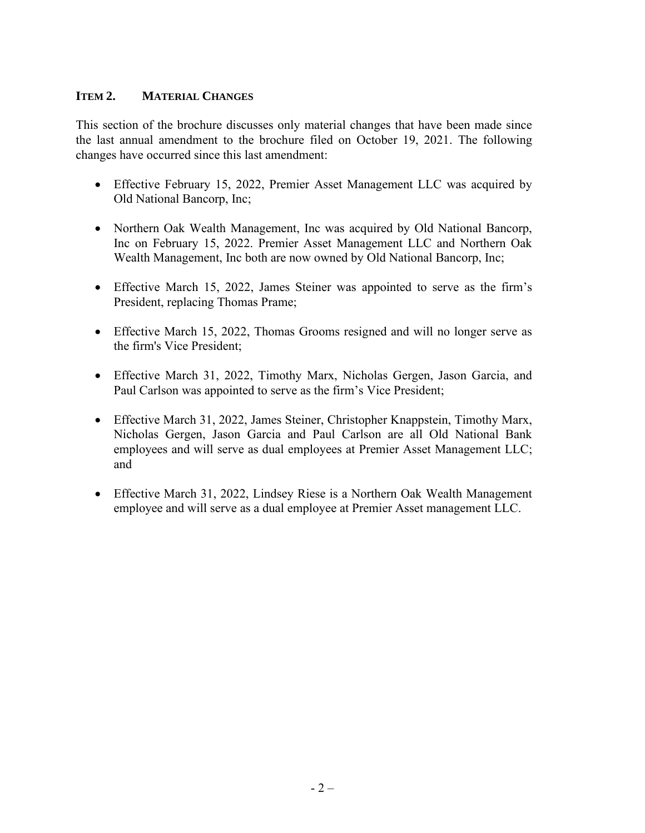## **ITEM 2. MATERIAL CHANGES**

This section of the brochure discusses only material changes that have been made since the last annual amendment to the brochure filed on October 19, 2021. The following changes have occurred since this last amendment:

- Effective February 15, 2022, Premier Asset Management LLC was acquired by Old National Bancorp, Inc;
- Northern Oak Wealth Management, Inc was acquired by Old National Bancorp, Inc on February 15, 2022. Premier Asset Management LLC and Northern Oak Wealth Management, Inc both are now owned by Old National Bancorp, Inc;
- Effective March 15, 2022, James Steiner was appointed to serve as the firm's President, replacing Thomas Prame;
- Effective March 15, 2022, Thomas Grooms resigned and will no longer serve as the firm's Vice President;
- Effective March 31, 2022, Timothy Marx, Nicholas Gergen, Jason Garcia, and Paul Carlson was appointed to serve as the firm's Vice President;
- Effective March 31, 2022, James Steiner, Christopher Knappstein, Timothy Marx, Nicholas Gergen, Jason Garcia and Paul Carlson are all Old National Bank employees and will serve as dual employees at Premier Asset Management LLC; and
- Effective March 31, 2022, Lindsey Riese is a Northern Oak Wealth Management employee and will serve as a dual employee at Premier Asset management LLC.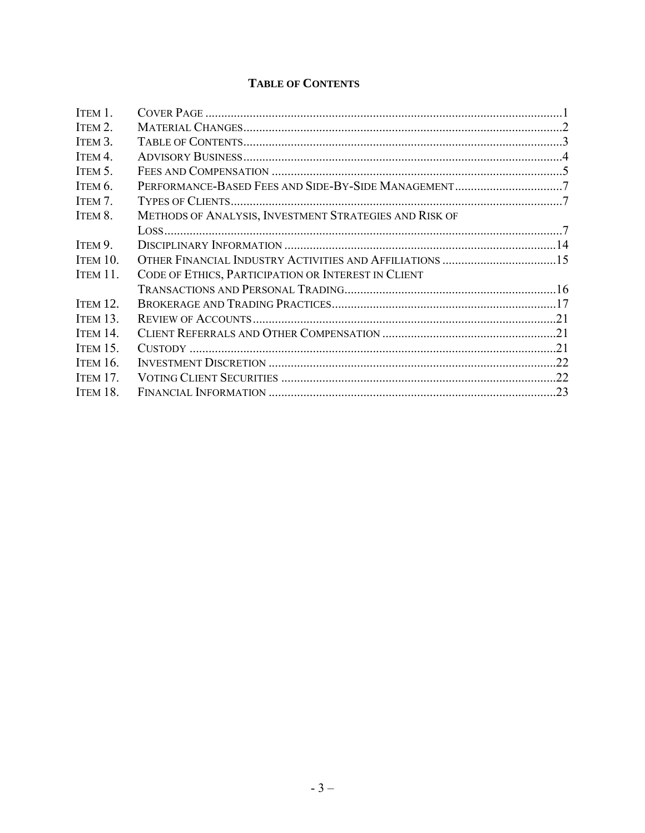## **TABLE OF CONTENTS**

| METHODS OF ANALYSIS, INVESTMENT STRATEGIES AND RISK OF |  |
|--------------------------------------------------------|--|
|                                                        |  |
|                                                        |  |
|                                                        |  |
| CODE OF ETHICS, PARTICIPATION OR INTEREST IN CLIENT    |  |
|                                                        |  |
|                                                        |  |
|                                                        |  |
|                                                        |  |
|                                                        |  |
|                                                        |  |
|                                                        |  |
|                                                        |  |
|                                                        |  |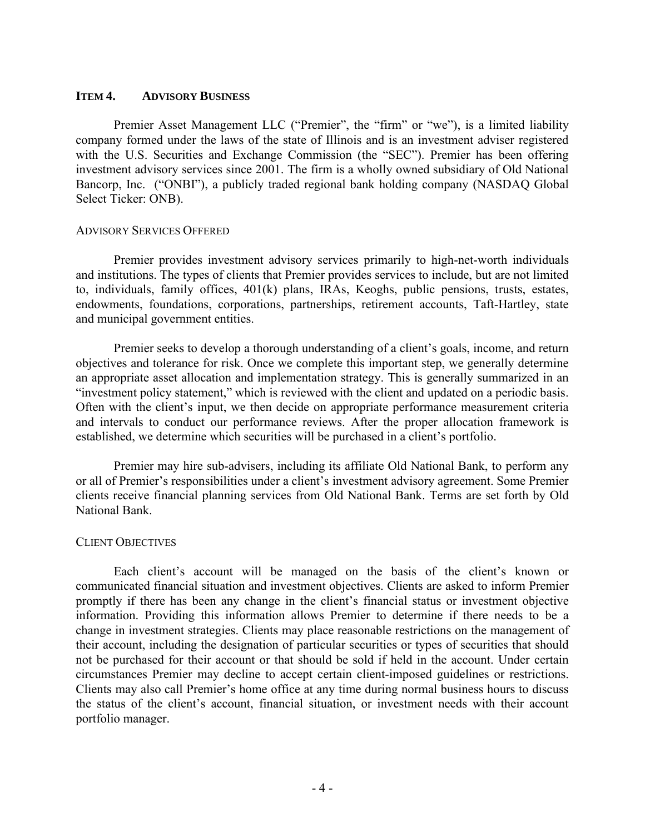#### **ITEM 4. ADVISORY BUSINESS**

Premier Asset Management LLC ("Premier", the "firm" or "we"), is a limited liability company formed under the laws of the state of Illinois and is an investment adviser registered with the U.S. Securities and Exchange Commission (the "SEC"). Premier has been offering investment advisory services since 2001. The firm is a wholly owned subsidiary of Old National Bancorp, Inc. ("ONBI"), a publicly traded regional bank holding company (NASDAQ Global Select Ticker: ONB).

#### ADVISORY SERVICES OFFERED

Premier provides investment advisory services primarily to high-net-worth individuals and institutions. The types of clients that Premier provides services to include, but are not limited to, individuals, family offices, 401(k) plans, IRAs, Keoghs, public pensions, trusts, estates, endowments, foundations, corporations, partnerships, retirement accounts, Taft-Hartley, state and municipal government entities.

Premier seeks to develop a thorough understanding of a client's goals, income, and return objectives and tolerance for risk. Once we complete this important step, we generally determine an appropriate asset allocation and implementation strategy. This is generally summarized in an "investment policy statement," which is reviewed with the client and updated on a periodic basis. Often with the client's input, we then decide on appropriate performance measurement criteria and intervals to conduct our performance reviews. After the proper allocation framework is established, we determine which securities will be purchased in a client's portfolio.

Premier may hire sub-advisers, including its affiliate Old National Bank, to perform any or all of Premier's responsibilities under a client's investment advisory agreement. Some Premier clients receive financial planning services from Old National Bank. Terms are set forth by Old National Bank.

#### CLIENT OBJECTIVES

Each client's account will be managed on the basis of the client's known or communicated financial situation and investment objectives. Clients are asked to inform Premier promptly if there has been any change in the client's financial status or investment objective information. Providing this information allows Premier to determine if there needs to be a change in investment strategies. Clients may place reasonable restrictions on the management of their account, including the designation of particular securities or types of securities that should not be purchased for their account or that should be sold if held in the account. Under certain circumstances Premier may decline to accept certain client-imposed guidelines or restrictions. Clients may also call Premier's home office at any time during normal business hours to discuss the status of the client's account, financial situation, or investment needs with their account portfolio manager.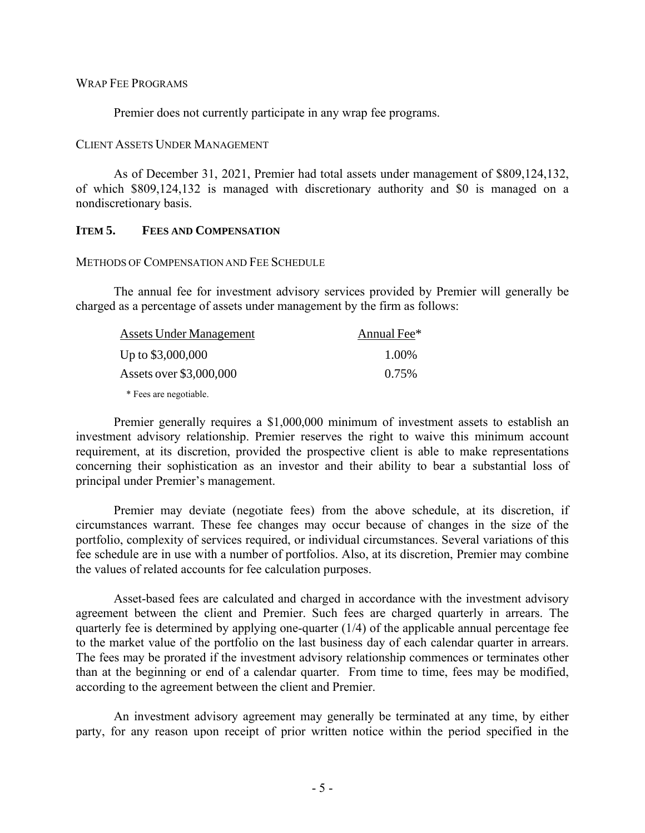#### WRAP FEE PROGRAMS

Premier does not currently participate in any wrap fee programs.

#### CLIENT ASSETS UNDER MANAGEMENT

As of December 31, 2021, Premier had total assets under management of \$809,124,132, of which \$809,124,132 is managed with discretionary authority and \$0 is managed on a nondiscretionary basis.

#### **ITEM 5. FEES AND COMPENSATION**

#### METHODS OF COMPENSATION AND FEE SCHEDULE

The annual fee for investment advisory services provided by Premier will generally be charged as a percentage of assets under management by the firm as follows:

| Assets Under Management | Annual Fee* |
|-------------------------|-------------|
| Up to \$3,000,000       | 1.00%       |
| Assets over \$3,000,000 | 0.75%       |
| * Fees are negotiable.  |             |

Premier generally requires a \$1,000,000 minimum of investment assets to establish an investment advisory relationship. Premier reserves the right to waive this minimum account requirement, at its discretion, provided the prospective client is able to make representations concerning their sophistication as an investor and their ability to bear a substantial loss of principal under Premier's management.

Premier may deviate (negotiate fees) from the above schedule, at its discretion, if circumstances warrant. These fee changes may occur because of changes in the size of the portfolio, complexity of services required, or individual circumstances. Several variations of this fee schedule are in use with a number of portfolios. Also, at its discretion, Premier may combine the values of related accounts for fee calculation purposes.

Asset-based fees are calculated and charged in accordance with the investment advisory agreement between the client and Premier. Such fees are charged quarterly in arrears. The quarterly fee is determined by applying one-quarter (1/4) of the applicable annual percentage fee to the market value of the portfolio on the last business day of each calendar quarter in arrears. The fees may be prorated if the investment advisory relationship commences or terminates other than at the beginning or end of a calendar quarter. From time to time, fees may be modified, according to the agreement between the client and Premier.

An investment advisory agreement may generally be terminated at any time, by either party, for any reason upon receipt of prior written notice within the period specified in the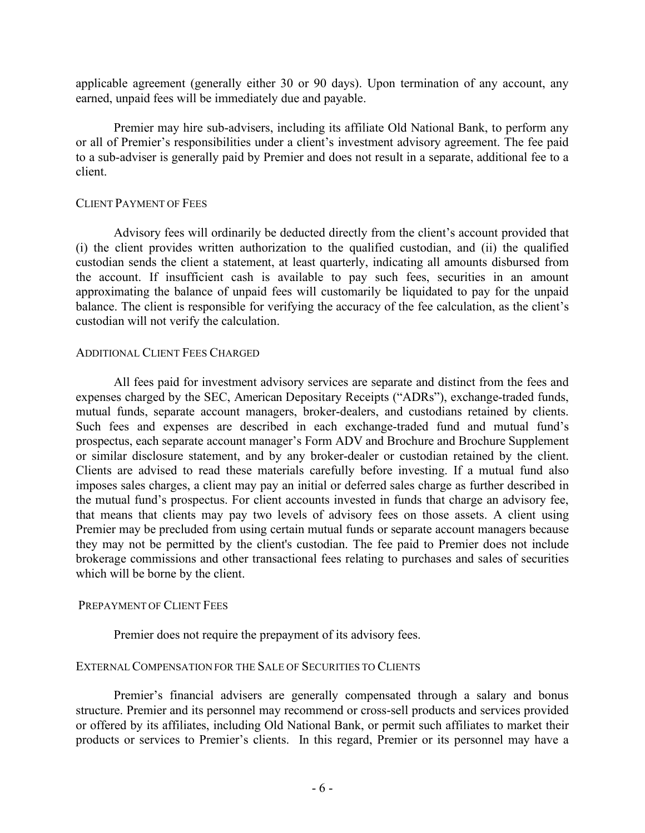applicable agreement (generally either 30 or 90 days). Upon termination of any account, any earned, unpaid fees will be immediately due and payable.

Premier may hire sub-advisers, including its affiliate Old National Bank, to perform any or all of Premier's responsibilities under a client's investment advisory agreement. The fee paid to a sub-adviser is generally paid by Premier and does not result in a separate, additional fee to a client.

#### CLIENT PAYMENT OF FEES

Advisory fees will ordinarily be deducted directly from the client's account provided that (i) the client provides written authorization to the qualified custodian, and (ii) the qualified custodian sends the client a statement, at least quarterly, indicating all amounts disbursed from the account. If insufficient cash is available to pay such fees, securities in an amount approximating the balance of unpaid fees will customarily be liquidated to pay for the unpaid balance. The client is responsible for verifying the accuracy of the fee calculation, as the client's custodian will not verify the calculation.

#### ADDITIONAL CLIENT FEES CHARGED

All fees paid for investment advisory services are separate and distinct from the fees and expenses charged by the SEC, American Depositary Receipts ("ADRs"), exchange-traded funds, mutual funds, separate account managers, broker-dealers, and custodians retained by clients. Such fees and expenses are described in each exchange-traded fund and mutual fund's prospectus, each separate account manager's Form ADV and Brochure and Brochure Supplement or similar disclosure statement, and by any broker-dealer or custodian retained by the client. Clients are advised to read these materials carefully before investing. If a mutual fund also imposes sales charges, a client may pay an initial or deferred sales charge as further described in the mutual fund's prospectus. For client accounts invested in funds that charge an advisory fee, that means that clients may pay two levels of advisory fees on those assets. A client using Premier may be precluded from using certain mutual funds or separate account managers because they may not be permitted by the client's custodian. The fee paid to Premier does not include brokerage commissions and other transactional fees relating to purchases and sales of securities which will be borne by the client.

## PREPAYMENT OF CLIENT FEES

Premier does not require the prepayment of its advisory fees.

## EXTERNAL COMPENSATION FOR THE SALE OF SECURITIES TO CLIENTS

Premier's financial advisers are generally compensated through a salary and bonus structure. Premier and its personnel may recommend or cross-sell products and services provided or offered by its affiliates, including Old National Bank, or permit such affiliates to market their products or services to Premier's clients. In this regard, Premier or its personnel may have a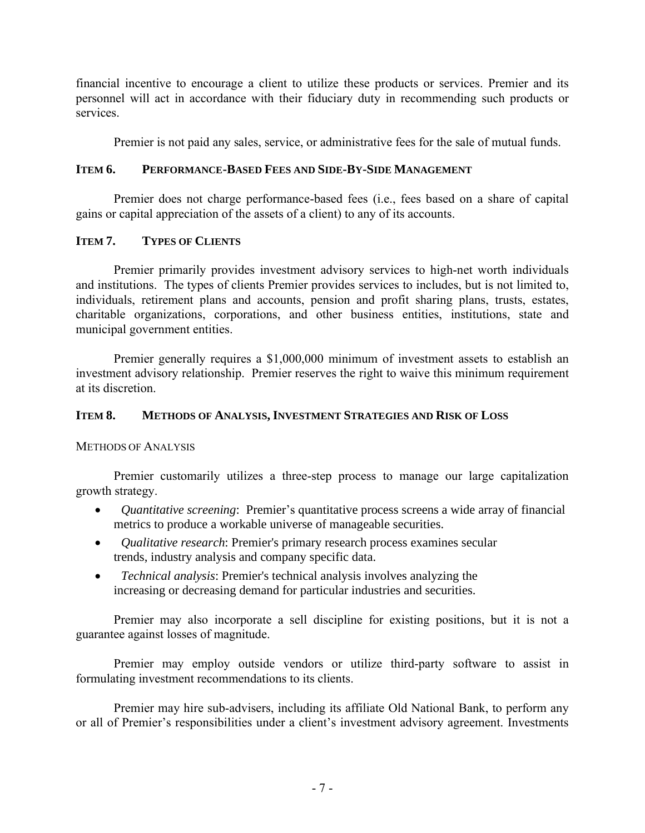financial incentive to encourage a client to utilize these products or services. Premier and its personnel will act in accordance with their fiduciary duty in recommending such products or services.

Premier is not paid any sales, service, or administrative fees for the sale of mutual funds.

## **ITEM 6. PERFORMANCE-BASED FEES AND SIDE-BY-SIDE MANAGEMENT**

Premier does not charge performance-based fees (i.e., fees based on a share of capital gains or capital appreciation of the assets of a client) to any of its accounts.

## **ITEM 7. TYPES OF CLIENTS**

Premier primarily provides investment advisory services to high-net worth individuals and institutions. The types of clients Premier provides services to includes, but is not limited to, individuals, retirement plans and accounts, pension and profit sharing plans, trusts, estates, charitable organizations, corporations, and other business entities, institutions, state and municipal government entities.

Premier generally requires a \$1,000,000 minimum of investment assets to establish an investment advisory relationship. Premier reserves the right to waive this minimum requirement at its discretion.

## **ITEM 8. METHODS OF ANALYSIS, INVESTMENT STRATEGIES AND RISK OF LOSS**

METHODS OF ANALYSIS

Premier customarily utilizes a three-step process to manage our large capitalization growth strategy.

- *Quantitative screening*: Premier's quantitative process screens a wide array of financial metrics to produce a workable universe of manageable securities.
- *Qualitative research*: Premier's primary research process examines secular trends, industry analysis and company specific data.
- *Technical analysis*: Premier's technical analysis involves analyzing the increasing or decreasing demand for particular industries and securities.

Premier may also incorporate a sell discipline for existing positions, but it is not a guarantee against losses of magnitude.

Premier may employ outside vendors or utilize third-party software to assist in formulating investment recommendations to its clients.

Premier may hire sub-advisers, including its affiliate Old National Bank, to perform any or all of Premier's responsibilities under a client's investment advisory agreement. Investments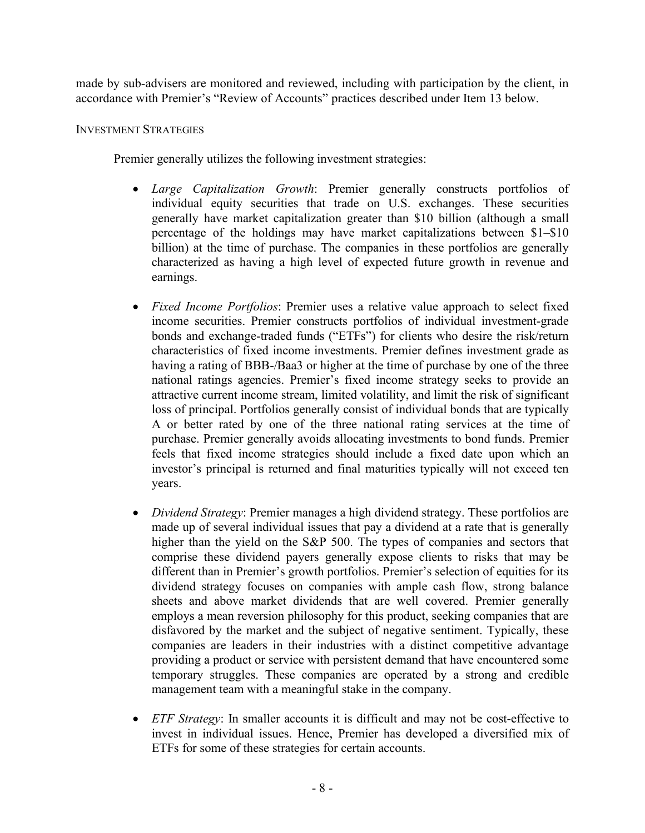made by sub-advisers are monitored and reviewed, including with participation by the client, in accordance with Premier's "Review of Accounts" practices described under Item 13 below.

## INVESTMENT STRATEGIES

Premier generally utilizes the following investment strategies:

- *Large Capitalization Growth*: Premier generally constructs portfolios of individual equity securities that trade on U.S. exchanges. These securities generally have market capitalization greater than \$10 billion (although a small percentage of the holdings may have market capitalizations between \$1–\$10 billion) at the time of purchase. The companies in these portfolios are generally characterized as having a high level of expected future growth in revenue and earnings.
- *Fixed Income Portfolios*: Premier uses a relative value approach to select fixed income securities. Premier constructs portfolios of individual investment-grade bonds and exchange-traded funds ("ETFs") for clients who desire the risk/return characteristics of fixed income investments. Premier defines investment grade as having a rating of BBB-/Baa3 or higher at the time of purchase by one of the three national ratings agencies. Premier's fixed income strategy seeks to provide an attractive current income stream, limited volatility, and limit the risk of significant loss of principal. Portfolios generally consist of individual bonds that are typically A or better rated by one of the three national rating services at the time of purchase. Premier generally avoids allocating investments to bond funds. Premier feels that fixed income strategies should include a fixed date upon which an investor's principal is returned and final maturities typically will not exceed ten years.
- *Dividend Strategy*: Premier manages a high dividend strategy. These portfolios are made up of several individual issues that pay a dividend at a rate that is generally higher than the yield on the S&P 500. The types of companies and sectors that comprise these dividend payers generally expose clients to risks that may be different than in Premier's growth portfolios. Premier's selection of equities for its dividend strategy focuses on companies with ample cash flow, strong balance sheets and above market dividends that are well covered. Premier generally employs a mean reversion philosophy for this product, seeking companies that are disfavored by the market and the subject of negative sentiment. Typically, these companies are leaders in their industries with a distinct competitive advantage providing a product or service with persistent demand that have encountered some temporary struggles. These companies are operated by a strong and credible management team with a meaningful stake in the company.
- *ETF Strategy*: In smaller accounts it is difficult and may not be cost-effective to invest in individual issues. Hence, Premier has developed a diversified mix of ETFs for some of these strategies for certain accounts.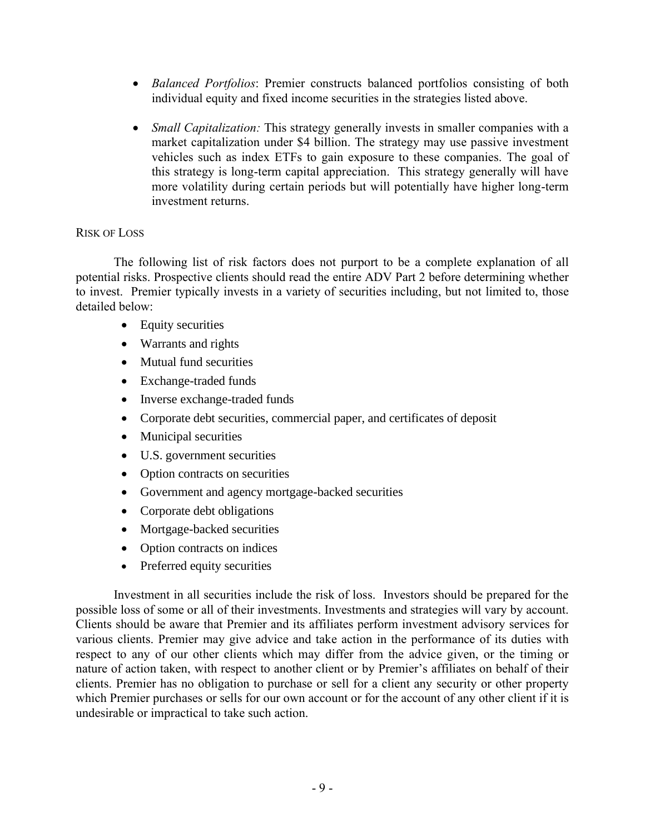- *Balanced Portfolios*: Premier constructs balanced portfolios consisting of both individual equity and fixed income securities in the strategies listed above.
- *Small Capitalization:* This strategy generally invests in smaller companies with a market capitalization under \$4 billion. The strategy may use passive investment vehicles such as index ETFs to gain exposure to these companies. The goal of this strategy is long-term capital appreciation. This strategy generally will have more volatility during certain periods but will potentially have higher long-term investment returns.

## RISK OF LOSS

The following list of risk factors does not purport to be a complete explanation of all potential risks. Prospective clients should read the entire ADV Part 2 before determining whether to invest. Premier typically invests in a variety of securities including, but not limited to, those detailed below:

- Equity securities
- Warrants and rights
- Mutual fund securities
- Exchange-traded funds
- Inverse exchange-traded funds
- Corporate debt securities, commercial paper, and certificates of deposit
- Municipal securities
- U.S. government securities
- Option contracts on securities
- Government and agency mortgage-backed securities
- Corporate debt obligations
- Mortgage-backed securities
- Option contracts on indices
- Preferred equity securities

Investment in all securities include the risk of loss. Investors should be prepared for the possible loss of some or all of their investments. Investments and strategies will vary by account. Clients should be aware that Premier and its affiliates perform investment advisory services for various clients. Premier may give advice and take action in the performance of its duties with respect to any of our other clients which may differ from the advice given, or the timing or nature of action taken, with respect to another client or by Premier's affiliates on behalf of their clients. Premier has no obligation to purchase or sell for a client any security or other property which Premier purchases or sells for our own account or for the account of any other client if it is undesirable or impractical to take such action.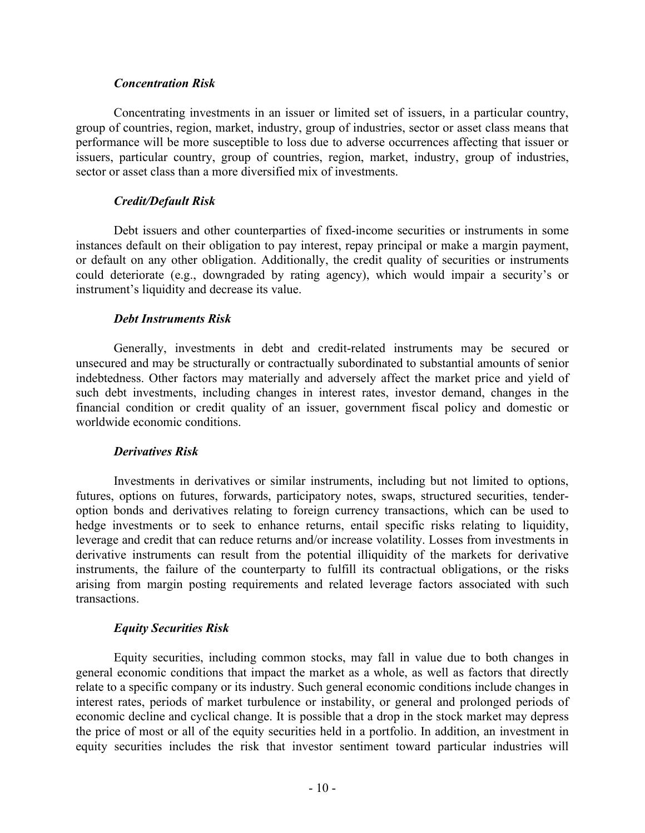#### *Concentration Risk*

Concentrating investments in an issuer or limited set of issuers, in a particular country, group of countries, region, market, industry, group of industries, sector or asset class means that performance will be more susceptible to loss due to adverse occurrences affecting that issuer or issuers, particular country, group of countries, region, market, industry, group of industries, sector or asset class than a more diversified mix of investments.

## *Credit/Default Risk*

Debt issuers and other counterparties of fixed-income securities or instruments in some instances default on their obligation to pay interest, repay principal or make a margin payment, or default on any other obligation. Additionally, the credit quality of securities or instruments could deteriorate (e.g., downgraded by rating agency), which would impair a security's or instrument's liquidity and decrease its value.

## *Debt Instruments Risk*

Generally, investments in debt and credit-related instruments may be secured or unsecured and may be structurally or contractually subordinated to substantial amounts of senior indebtedness. Other factors may materially and adversely affect the market price and yield of such debt investments, including changes in interest rates, investor demand, changes in the financial condition or credit quality of an issuer, government fiscal policy and domestic or worldwide economic conditions.

## *Derivatives Risk*

Investments in derivatives or similar instruments, including but not limited to options, futures, options on futures, forwards, participatory notes, swaps, structured securities, tenderoption bonds and derivatives relating to foreign currency transactions, which can be used to hedge investments or to seek to enhance returns, entail specific risks relating to liquidity, leverage and credit that can reduce returns and/or increase volatility. Losses from investments in derivative instruments can result from the potential illiquidity of the markets for derivative instruments, the failure of the counterparty to fulfill its contractual obligations, or the risks arising from margin posting requirements and related leverage factors associated with such transactions.

## *Equity Securities Risk*

Equity securities, including common stocks, may fall in value due to both changes in general economic conditions that impact the market as a whole, as well as factors that directly relate to a specific company or its industry. Such general economic conditions include changes in interest rates, periods of market turbulence or instability, or general and prolonged periods of economic decline and cyclical change. It is possible that a drop in the stock market may depress the price of most or all of the equity securities held in a portfolio. In addition, an investment in equity securities includes the risk that investor sentiment toward particular industries will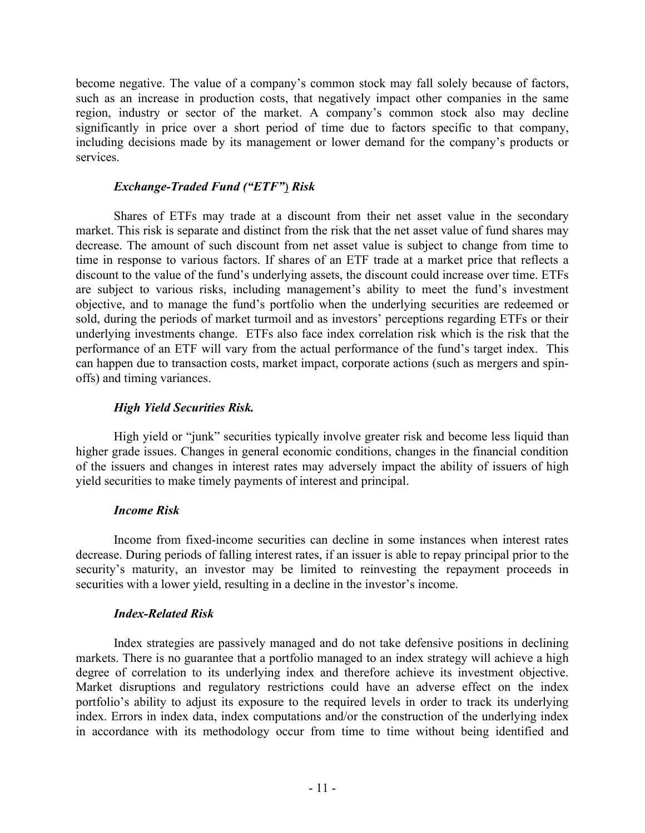become negative. The value of a company's common stock may fall solely because of factors, such as an increase in production costs, that negatively impact other companies in the same region, industry or sector of the market. A company's common stock also may decline significantly in price over a short period of time due to factors specific to that company, including decisions made by its management or lower demand for the company's products or services.

## *Exchange-Traded Fund ("ETF"*) *Risk*

Shares of ETFs may trade at a discount from their net asset value in the secondary market. This risk is separate and distinct from the risk that the net asset value of fund shares may decrease. The amount of such discount from net asset value is subject to change from time to time in response to various factors. If shares of an ETF trade at a market price that reflects a discount to the value of the fund's underlying assets, the discount could increase over time. ETFs are subject to various risks, including management's ability to meet the fund's investment objective, and to manage the fund's portfolio when the underlying securities are redeemed or sold, during the periods of market turmoil and as investors' perceptions regarding ETFs or their underlying investments change. ETFs also face index correlation risk which is the risk that the performance of an ETF will vary from the actual performance of the fund's target index. This can happen due to transaction costs, market impact, corporate actions (such as mergers and spinoffs) and timing variances.

## *High Yield Securities Risk.*

High yield or "junk" securities typically involve greater risk and become less liquid than higher grade issues. Changes in general economic conditions, changes in the financial condition of the issuers and changes in interest rates may adversely impact the ability of issuers of high yield securities to make timely payments of interest and principal.

## *Income Risk*

Income from fixed-income securities can decline in some instances when interest rates decrease. During periods of falling interest rates, if an issuer is able to repay principal prior to the security's maturity, an investor may be limited to reinvesting the repayment proceeds in securities with a lower yield, resulting in a decline in the investor's income.

## *Index-Related Risk*

Index strategies are passively managed and do not take defensive positions in declining markets. There is no guarantee that a portfolio managed to an index strategy will achieve a high degree of correlation to its underlying index and therefore achieve its investment objective. Market disruptions and regulatory restrictions could have an adverse effect on the index portfolio's ability to adjust its exposure to the required levels in order to track its underlying index. Errors in index data, index computations and/or the construction of the underlying index in accordance with its methodology occur from time to time without being identified and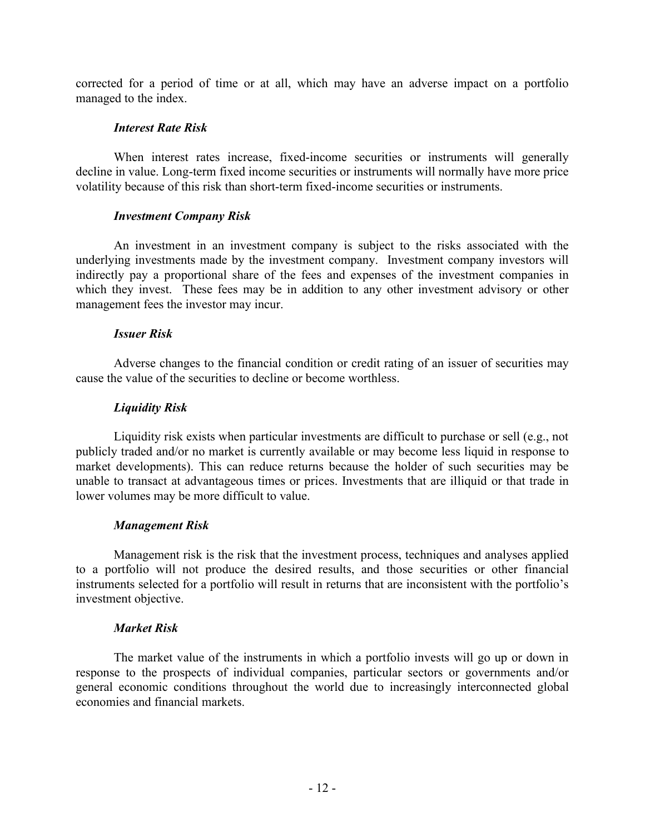corrected for a period of time or at all, which may have an adverse impact on a portfolio managed to the index.

## *Interest Rate Risk*

When interest rates increase, fixed-income securities or instruments will generally decline in value. Long-term fixed income securities or instruments will normally have more price volatility because of this risk than short-term fixed-income securities or instruments.

## *Investment Company Risk*

An investment in an investment company is subject to the risks associated with the underlying investments made by the investment company. Investment company investors will indirectly pay a proportional share of the fees and expenses of the investment companies in which they invest. These fees may be in addition to any other investment advisory or other management fees the investor may incur.

## *Issuer Risk*

Adverse changes to the financial condition or credit rating of an issuer of securities may cause the value of the securities to decline or become worthless.

## *Liquidity Risk*

Liquidity risk exists when particular investments are difficult to purchase or sell (e.g., not publicly traded and/or no market is currently available or may become less liquid in response to market developments). This can reduce returns because the holder of such securities may be unable to transact at advantageous times or prices. Investments that are illiquid or that trade in lower volumes may be more difficult to value.

## *Management Risk*

Management risk is the risk that the investment process, techniques and analyses applied to a portfolio will not produce the desired results, and those securities or other financial instruments selected for a portfolio will result in returns that are inconsistent with the portfolio's investment objective.

## *Market Risk*

The market value of the instruments in which a portfolio invests will go up or down in response to the prospects of individual companies, particular sectors or governments and/or general economic conditions throughout the world due to increasingly interconnected global economies and financial markets.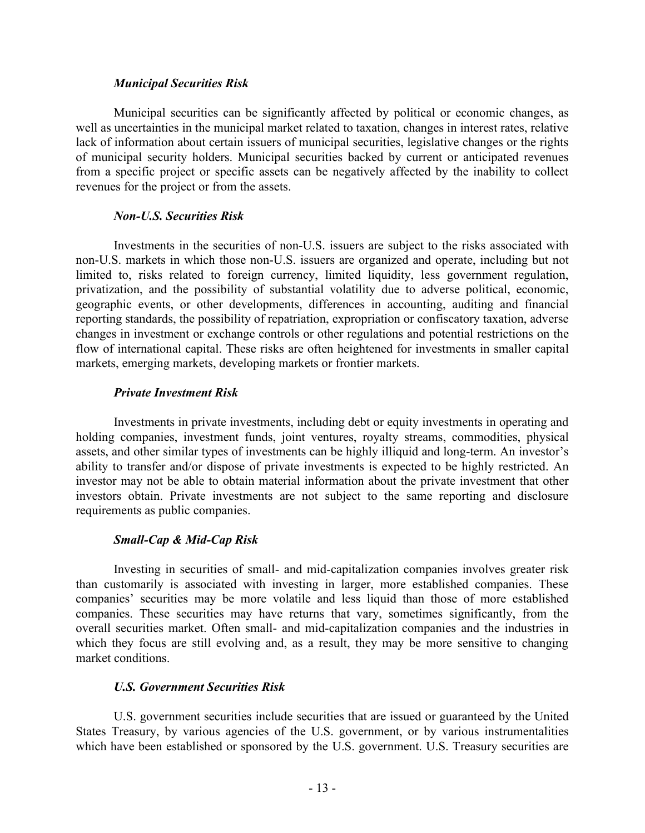#### *Municipal Securities Risk*

Municipal securities can be significantly affected by political or economic changes, as well as uncertainties in the municipal market related to taxation, changes in interest rates, relative lack of information about certain issuers of municipal securities, legislative changes or the rights of municipal security holders. Municipal securities backed by current or anticipated revenues from a specific project or specific assets can be negatively affected by the inability to collect revenues for the project or from the assets.

## *Non-U.S. Securities Risk*

Investments in the securities of non-U.S. issuers are subject to the risks associated with non-U.S. markets in which those non-U.S. issuers are organized and operate, including but not limited to, risks related to foreign currency, limited liquidity, less government regulation, privatization, and the possibility of substantial volatility due to adverse political, economic, geographic events, or other developments, differences in accounting, auditing and financial reporting standards, the possibility of repatriation, expropriation or confiscatory taxation, adverse changes in investment or exchange controls or other regulations and potential restrictions on the flow of international capital. These risks are often heightened for investments in smaller capital markets, emerging markets, developing markets or frontier markets.

## *Private Investment Risk*

Investments in private investments, including debt or equity investments in operating and holding companies, investment funds, joint ventures, royalty streams, commodities, physical assets, and other similar types of investments can be highly illiquid and long-term. An investor's ability to transfer and/or dispose of private investments is expected to be highly restricted. An investor may not be able to obtain material information about the private investment that other investors obtain. Private investments are not subject to the same reporting and disclosure requirements as public companies.

## *Small-Cap & Mid-Cap Risk*

Investing in securities of small- and mid-capitalization companies involves greater risk than customarily is associated with investing in larger, more established companies. These companies' securities may be more volatile and less liquid than those of more established companies. These securities may have returns that vary, sometimes significantly, from the overall securities market. Often small- and mid-capitalization companies and the industries in which they focus are still evolving and, as a result, they may be more sensitive to changing market conditions.

## *U.S. Government Securities Risk*

U.S. government securities include securities that are issued or guaranteed by the United States Treasury, by various agencies of the U.S. government, or by various instrumentalities which have been established or sponsored by the U.S. government. U.S. Treasury securities are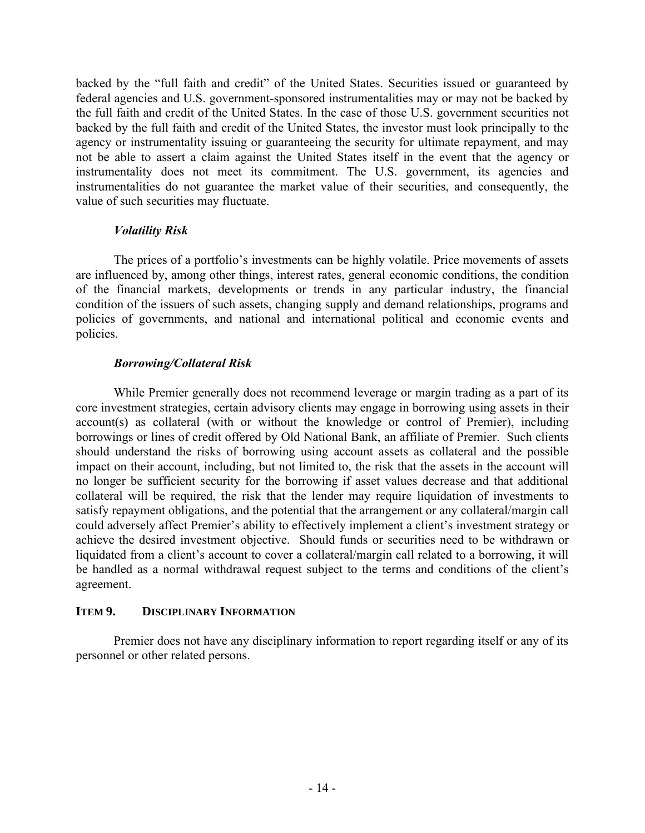backed by the "full faith and credit" of the United States. Securities issued or guaranteed by federal agencies and U.S. government-sponsored instrumentalities may or may not be backed by the full faith and credit of the United States. In the case of those U.S. government securities not backed by the full faith and credit of the United States, the investor must look principally to the agency or instrumentality issuing or guaranteeing the security for ultimate repayment, and may not be able to assert a claim against the United States itself in the event that the agency or instrumentality does not meet its commitment. The U.S. government, its agencies and instrumentalities do not guarantee the market value of their securities, and consequently, the value of such securities may fluctuate.

## *Volatility Risk*

The prices of a portfolio's investments can be highly volatile. Price movements of assets are influenced by, among other things, interest rates, general economic conditions, the condition of the financial markets, developments or trends in any particular industry, the financial condition of the issuers of such assets, changing supply and demand relationships, programs and policies of governments, and national and international political and economic events and policies.

## *Borrowing/Collateral Risk*

While Premier generally does not recommend leverage or margin trading as a part of its core investment strategies, certain advisory clients may engage in borrowing using assets in their account(s) as collateral (with or without the knowledge or control of Premier), including borrowings or lines of credit offered by Old National Bank, an affiliate of Premier. Such clients should understand the risks of borrowing using account assets as collateral and the possible impact on their account, including, but not limited to, the risk that the assets in the account will no longer be sufficient security for the borrowing if asset values decrease and that additional collateral will be required, the risk that the lender may require liquidation of investments to satisfy repayment obligations, and the potential that the arrangement or any collateral/margin call could adversely affect Premier's ability to effectively implement a client's investment strategy or achieve the desired investment objective. Should funds or securities need to be withdrawn or liquidated from a client's account to cover a collateral/margin call related to a borrowing, it will be handled as a normal withdrawal request subject to the terms and conditions of the client's agreement.

## **ITEM 9. DISCIPLINARY INFORMATION**

Premier does not have any disciplinary information to report regarding itself or any of its personnel or other related persons.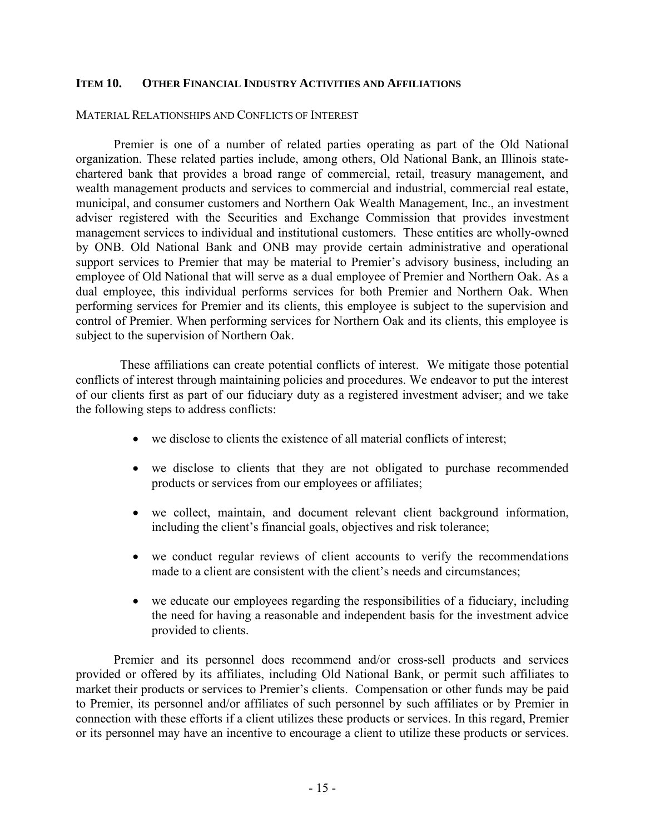#### **ITEM 10. OTHER FINANCIAL INDUSTRY ACTIVITIES AND AFFILIATIONS**

#### MATERIAL RELATIONSHIPS AND CONFLICTS OF INTEREST

Premier is one of a number of related parties operating as part of the Old National organization. These related parties include, among others, Old National Bank, an Illinois statechartered bank that provides a broad range of commercial, retail, treasury management, and wealth management products and services to commercial and industrial, commercial real estate, municipal, and consumer customers and Northern Oak Wealth Management, Inc., an investment adviser registered with the Securities and Exchange Commission that provides investment management services to individual and institutional customers. These entities are wholly-owned by ONB. Old National Bank and ONB may provide certain administrative and operational support services to Premier that may be material to Premier's advisory business, including an employee of Old National that will serve as a dual employee of Premier and Northern Oak. As a dual employee, this individual performs services for both Premier and Northern Oak. When performing services for Premier and its clients, this employee is subject to the supervision and control of Premier. When performing services for Northern Oak and its clients, this employee is subject to the supervision of Northern Oak.

These affiliations can create potential conflicts of interest. We mitigate those potential conflicts of interest through maintaining policies and procedures. We endeavor to put the interest of our clients first as part of our fiduciary duty as a registered investment adviser; and we take the following steps to address conflicts:

- we disclose to clients the existence of all material conflicts of interest;
- we disclose to clients that they are not obligated to purchase recommended products or services from our employees or affiliates;
- we collect, maintain, and document relevant client background information, including the client's financial goals, objectives and risk tolerance;
- we conduct regular reviews of client accounts to verify the recommendations made to a client are consistent with the client's needs and circumstances;
- we educate our employees regarding the responsibilities of a fiduciary, including the need for having a reasonable and independent basis for the investment advice provided to clients.

Premier and its personnel does recommend and/or cross-sell products and services provided or offered by its affiliates, including Old National Bank, or permit such affiliates to market their products or services to Premier's clients. Compensation or other funds may be paid to Premier, its personnel and/or affiliates of such personnel by such affiliates or by Premier in connection with these efforts if a client utilizes these products or services. In this regard, Premier or its personnel may have an incentive to encourage a client to utilize these products or services.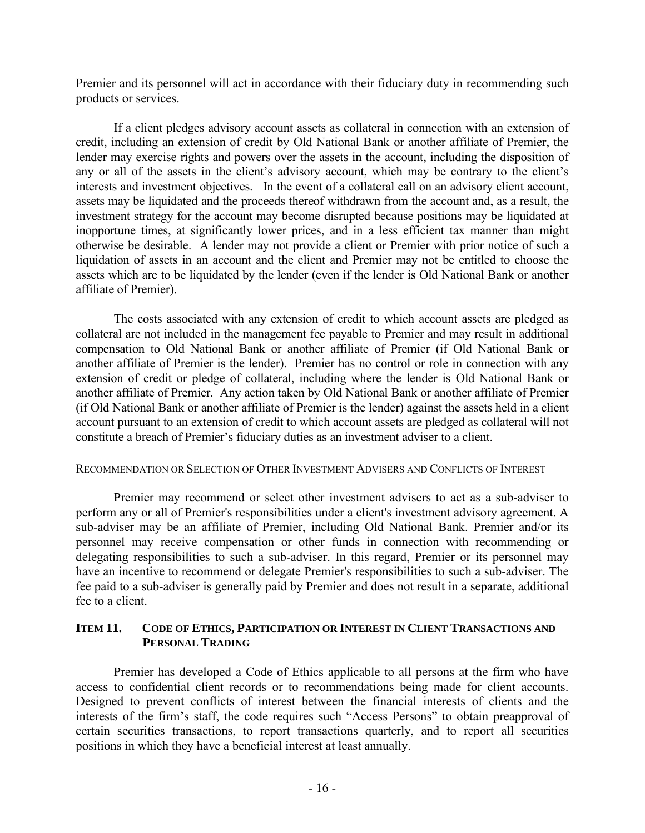Premier and its personnel will act in accordance with their fiduciary duty in recommending such products or services.

If a client pledges advisory account assets as collateral in connection with an extension of credit, including an extension of credit by Old National Bank or another affiliate of Premier, the lender may exercise rights and powers over the assets in the account, including the disposition of any or all of the assets in the client's advisory account, which may be contrary to the client's interests and investment objectives. In the event of a collateral call on an advisory client account, assets may be liquidated and the proceeds thereof withdrawn from the account and, as a result, the investment strategy for the account may become disrupted because positions may be liquidated at inopportune times, at significantly lower prices, and in a less efficient tax manner than might otherwise be desirable. A lender may not provide a client or Premier with prior notice of such a liquidation of assets in an account and the client and Premier may not be entitled to choose the assets which are to be liquidated by the lender (even if the lender is Old National Bank or another affiliate of Premier).

The costs associated with any extension of credit to which account assets are pledged as collateral are not included in the management fee payable to Premier and may result in additional compensation to Old National Bank or another affiliate of Premier (if Old National Bank or another affiliate of Premier is the lender). Premier has no control or role in connection with any extension of credit or pledge of collateral, including where the lender is Old National Bank or another affiliate of Premier. Any action taken by Old National Bank or another affiliate of Premier (if Old National Bank or another affiliate of Premier is the lender) against the assets held in a client account pursuant to an extension of credit to which account assets are pledged as collateral will not constitute a breach of Premier's fiduciary duties as an investment adviser to a client.

## RECOMMENDATION OR SELECTION OF OTHER INVESTMENT ADVISERS AND CONFLICTS OF INTEREST

Premier may recommend or select other investment advisers to act as a sub-adviser to perform any or all of Premier's responsibilities under a client's investment advisory agreement. A sub-adviser may be an affiliate of Premier, including Old National Bank. Premier and/or its personnel may receive compensation or other funds in connection with recommending or delegating responsibilities to such a sub-adviser. In this regard, Premier or its personnel may have an incentive to recommend or delegate Premier's responsibilities to such a sub-adviser. The fee paid to a sub-adviser is generally paid by Premier and does not result in a separate, additional fee to a client.

## **ITEM 11. CODE OF ETHICS, PARTICIPATION OR INTEREST IN CLIENT TRANSACTIONS AND PERSONAL TRADING**

Premier has developed a Code of Ethics applicable to all persons at the firm who have access to confidential client records or to recommendations being made for client accounts. Designed to prevent conflicts of interest between the financial interests of clients and the interests of the firm's staff, the code requires such "Access Persons" to obtain preapproval of certain securities transactions, to report transactions quarterly, and to report all securities positions in which they have a beneficial interest at least annually.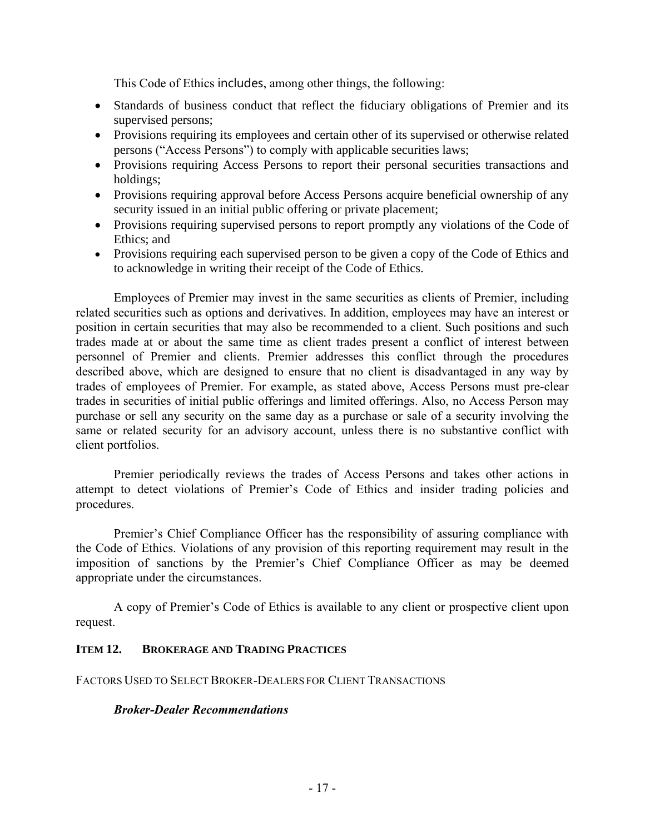This Code of Ethics includes, among other things, the following:

- Standards of business conduct that reflect the fiduciary obligations of Premier and its supervised persons;
- Provisions requiring its employees and certain other of its supervised or otherwise related persons ("Access Persons") to comply with applicable securities laws;
- Provisions requiring Access Persons to report their personal securities transactions and holdings;
- Provisions requiring approval before Access Persons acquire beneficial ownership of any security issued in an initial public offering or private placement;
- Provisions requiring supervised persons to report promptly any violations of the Code of Ethics; and
- Provisions requiring each supervised person to be given a copy of the Code of Ethics and to acknowledge in writing their receipt of the Code of Ethics.

Employees of Premier may invest in the same securities as clients of Premier, including related securities such as options and derivatives. In addition, employees may have an interest or position in certain securities that may also be recommended to a client. Such positions and such trades made at or about the same time as client trades present a conflict of interest between personnel of Premier and clients. Premier addresses this conflict through the procedures described above, which are designed to ensure that no client is disadvantaged in any way by trades of employees of Premier. For example, as stated above, Access Persons must pre-clear trades in securities of initial public offerings and limited offerings. Also, no Access Person may purchase or sell any security on the same day as a purchase or sale of a security involving the same or related security for an advisory account, unless there is no substantive conflict with client portfolios.

Premier periodically reviews the trades of Access Persons and takes other actions in attempt to detect violations of Premier's Code of Ethics and insider trading policies and procedures.

Premier's Chief Compliance Officer has the responsibility of assuring compliance with the Code of Ethics. Violations of any provision of this reporting requirement may result in the imposition of sanctions by the Premier's Chief Compliance Officer as may be deemed appropriate under the circumstances.

A copy of Premier's Code of Ethics is available to any client or prospective client upon request.

## **ITEM 12. BROKERAGE AND TRADING PRACTICES**

FACTORS USED TO SELECT BROKER-DEALERS FOR CLIENT TRANSACTIONS

## *Broker-Dealer Recommendations*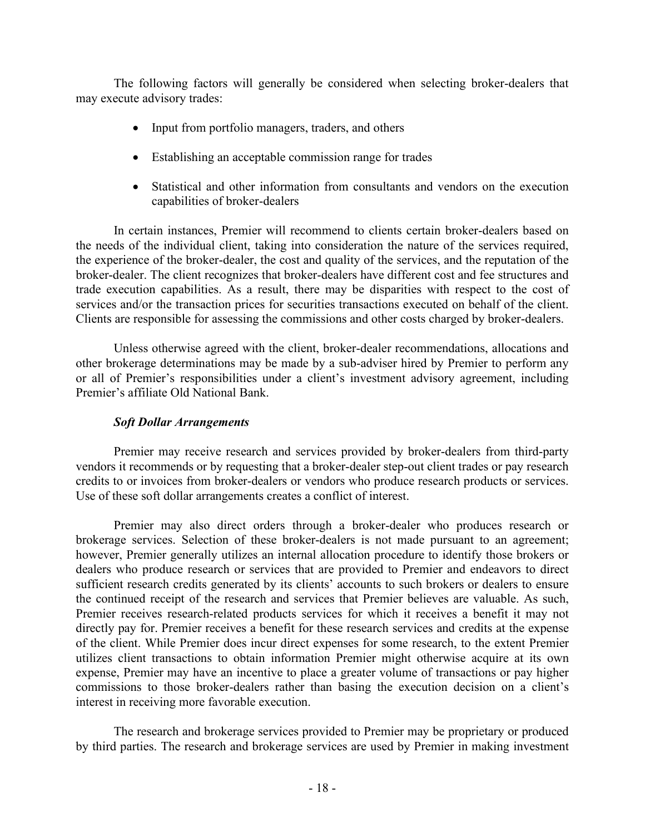The following factors will generally be considered when selecting broker-dealers that may execute advisory trades:

- Input from portfolio managers, traders, and others
- Establishing an acceptable commission range for trades
- Statistical and other information from consultants and vendors on the execution capabilities of broker-dealers

In certain instances, Premier will recommend to clients certain broker-dealers based on the needs of the individual client, taking into consideration the nature of the services required, the experience of the broker-dealer, the cost and quality of the services, and the reputation of the broker-dealer. The client recognizes that broker-dealers have different cost and fee structures and trade execution capabilities. As a result, there may be disparities with respect to the cost of services and/or the transaction prices for securities transactions executed on behalf of the client. Clients are responsible for assessing the commissions and other costs charged by broker-dealers.

Unless otherwise agreed with the client, broker-dealer recommendations, allocations and other brokerage determinations may be made by a sub-adviser hired by Premier to perform any or all of Premier's responsibilities under a client's investment advisory agreement, including Premier's affiliate Old National Bank.

## *Soft Dollar Arrangements*

Premier may receive research and services provided by broker-dealers from third-party vendors it recommends or by requesting that a broker-dealer step-out client trades or pay research credits to or invoices from broker-dealers or vendors who produce research products or services. Use of these soft dollar arrangements creates a conflict of interest.

Premier may also direct orders through a broker-dealer who produces research or brokerage services. Selection of these broker-dealers is not made pursuant to an agreement; however, Premier generally utilizes an internal allocation procedure to identify those brokers or dealers who produce research or services that are provided to Premier and endeavors to direct sufficient research credits generated by its clients' accounts to such brokers or dealers to ensure the continued receipt of the research and services that Premier believes are valuable. As such, Premier receives research-related products services for which it receives a benefit it may not directly pay for. Premier receives a benefit for these research services and credits at the expense of the client. While Premier does incur direct expenses for some research, to the extent Premier utilizes client transactions to obtain information Premier might otherwise acquire at its own expense, Premier may have an incentive to place a greater volume of transactions or pay higher commissions to those broker-dealers rather than basing the execution decision on a client's interest in receiving more favorable execution.

The research and brokerage services provided to Premier may be proprietary or produced by third parties. The research and brokerage services are used by Premier in making investment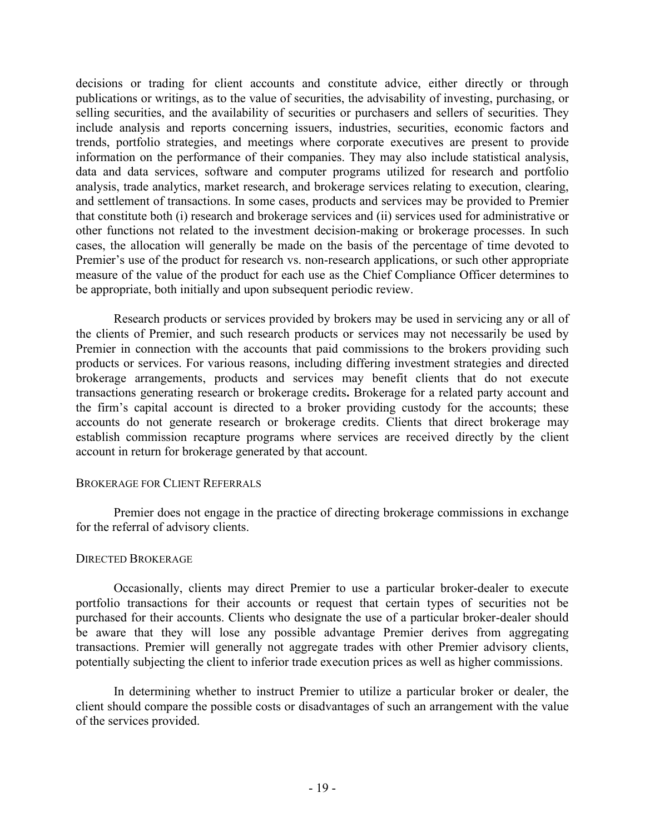decisions or trading for client accounts and constitute advice, either directly or through publications or writings, as to the value of securities, the advisability of investing, purchasing, or selling securities, and the availability of securities or purchasers and sellers of securities. They include analysis and reports concerning issuers, industries, securities, economic factors and trends, portfolio strategies, and meetings where corporate executives are present to provide information on the performance of their companies. They may also include statistical analysis, data and data services, software and computer programs utilized for research and portfolio analysis, trade analytics, market research, and brokerage services relating to execution, clearing, and settlement of transactions. In some cases, products and services may be provided to Premier that constitute both (i) research and brokerage services and (ii) services used for administrative or other functions not related to the investment decision-making or brokerage processes. In such cases, the allocation will generally be made on the basis of the percentage of time devoted to Premier's use of the product for research vs. non-research applications, or such other appropriate measure of the value of the product for each use as the Chief Compliance Officer determines to be appropriate, both initially and upon subsequent periodic review.

Research products or services provided by brokers may be used in servicing any or all of the clients of Premier, and such research products or services may not necessarily be used by Premier in connection with the accounts that paid commissions to the brokers providing such products or services. For various reasons, including differing investment strategies and directed brokerage arrangements, products and services may benefit clients that do not execute transactions generating research or brokerage credits**.** Brokerage for a related party account and the firm's capital account is directed to a broker providing custody for the accounts; these accounts do not generate research or brokerage credits. Clients that direct brokerage may establish commission recapture programs where services are received directly by the client account in return for brokerage generated by that account.

#### BROKERAGE FOR CLIENT REFERRALS

Premier does not engage in the practice of directing brokerage commissions in exchange for the referral of advisory clients.

## DIRECTED BROKERAGE

Occasionally, clients may direct Premier to use a particular broker-dealer to execute portfolio transactions for their accounts or request that certain types of securities not be purchased for their accounts. Clients who designate the use of a particular broker-dealer should be aware that they will lose any possible advantage Premier derives from aggregating transactions. Premier will generally not aggregate trades with other Premier advisory clients, potentially subjecting the client to inferior trade execution prices as well as higher commissions.

In determining whether to instruct Premier to utilize a particular broker or dealer, the client should compare the possible costs or disadvantages of such an arrangement with the value of the services provided.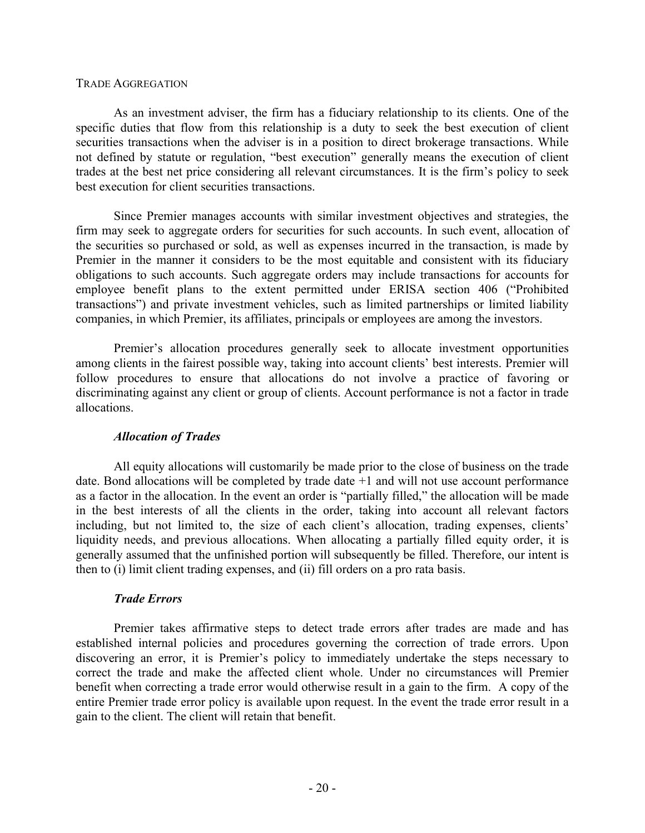#### TRADE AGGREGATION

As an investment adviser, the firm has a fiduciary relationship to its clients. One of the specific duties that flow from this relationship is a duty to seek the best execution of client securities transactions when the adviser is in a position to direct brokerage transactions. While not defined by statute or regulation, "best execution" generally means the execution of client trades at the best net price considering all relevant circumstances. It is the firm's policy to seek best execution for client securities transactions.

Since Premier manages accounts with similar investment objectives and strategies, the firm may seek to aggregate orders for securities for such accounts. In such event, allocation of the securities so purchased or sold, as well as expenses incurred in the transaction, is made by Premier in the manner it considers to be the most equitable and consistent with its fiduciary obligations to such accounts. Such aggregate orders may include transactions for accounts for employee benefit plans to the extent permitted under ERISA section 406 ("Prohibited transactions") and private investment vehicles, such as limited partnerships or limited liability companies, in which Premier, its affiliates, principals or employees are among the investors.

Premier's allocation procedures generally seek to allocate investment opportunities among clients in the fairest possible way, taking into account clients' best interests. Premier will follow procedures to ensure that allocations do not involve a practice of favoring or discriminating against any client or group of clients. Account performance is not a factor in trade allocations.

## *Allocation of Trades*

All equity allocations will customarily be made prior to the close of business on the trade date. Bond allocations will be completed by trade date +1 and will not use account performance as a factor in the allocation. In the event an order is "partially filled," the allocation will be made in the best interests of all the clients in the order, taking into account all relevant factors including, but not limited to, the size of each client's allocation, trading expenses, clients' liquidity needs, and previous allocations. When allocating a partially filled equity order, it is generally assumed that the unfinished portion will subsequently be filled. Therefore, our intent is then to (i) limit client trading expenses, and (ii) fill orders on a pro rata basis.

## *Trade Errors*

Premier takes affirmative steps to detect trade errors after trades are made and has established internal policies and procedures governing the correction of trade errors. Upon discovering an error, it is Premier's policy to immediately undertake the steps necessary to correct the trade and make the affected client whole. Under no circumstances will Premier benefit when correcting a trade error would otherwise result in a gain to the firm. A copy of the entire Premier trade error policy is available upon request. In the event the trade error result in a gain to the client. The client will retain that benefit.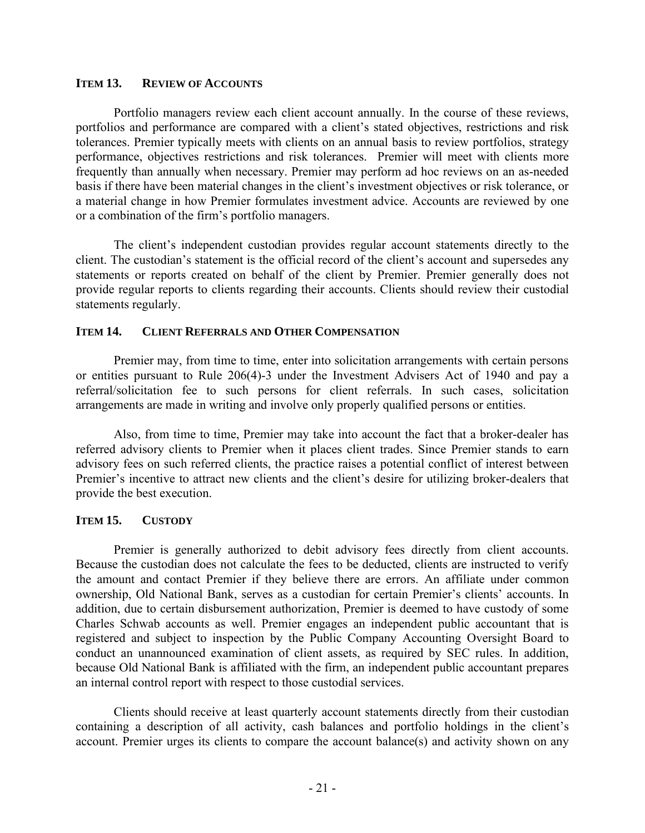#### **ITEM 13. REVIEW OF ACCOUNTS**

Portfolio managers review each client account annually. In the course of these reviews, portfolios and performance are compared with a client's stated objectives, restrictions and risk tolerances. Premier typically meets with clients on an annual basis to review portfolios, strategy performance, objectives restrictions and risk tolerances. Premier will meet with clients more frequently than annually when necessary. Premier may perform ad hoc reviews on an as-needed basis if there have been material changes in the client's investment objectives or risk tolerance, or a material change in how Premier formulates investment advice. Accounts are reviewed by one or a combination of the firm's portfolio managers.

The client's independent custodian provides regular account statements directly to the client. The custodian's statement is the official record of the client's account and supersedes any statements or reports created on behalf of the client by Premier. Premier generally does not provide regular reports to clients regarding their accounts. Clients should review their custodial statements regularly.

## **ITEM 14. CLIENT REFERRALS AND OTHER COMPENSATION**

Premier may, from time to time, enter into solicitation arrangements with certain persons or entities pursuant to Rule 206(4)-3 under the Investment Advisers Act of 1940 and pay a referral/solicitation fee to such persons for client referrals. In such cases, solicitation arrangements are made in writing and involve only properly qualified persons or entities.

Also, from time to time, Premier may take into account the fact that a broker-dealer has referred advisory clients to Premier when it places client trades. Since Premier stands to earn advisory fees on such referred clients, the practice raises a potential conflict of interest between Premier's incentive to attract new clients and the client's desire for utilizing broker-dealers that provide the best execution.

## **ITEM 15. CUSTODY**

Premier is generally authorized to debit advisory fees directly from client accounts. Because the custodian does not calculate the fees to be deducted, clients are instructed to verify the amount and contact Premier if they believe there are errors. An affiliate under common ownership, Old National Bank, serves as a custodian for certain Premier's clients' accounts. In addition, due to certain disbursement authorization, Premier is deemed to have custody of some Charles Schwab accounts as well. Premier engages an independent public accountant that is registered and subject to inspection by the Public Company Accounting Oversight Board to conduct an unannounced examination of client assets, as required by SEC rules. In addition, because Old National Bank is affiliated with the firm, an independent public accountant prepares an internal control report with respect to those custodial services.

Clients should receive at least quarterly account statements directly from their custodian containing a description of all activity, cash balances and portfolio holdings in the client's account. Premier urges its clients to compare the account balance(s) and activity shown on any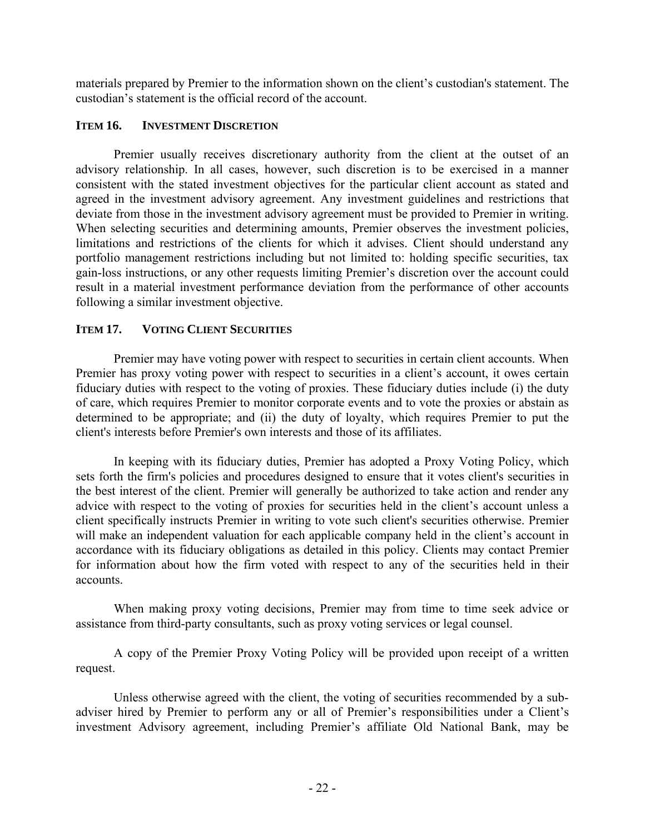materials prepared by Premier to the information shown on the client's custodian's statement. The custodian's statement is the official record of the account.

## **ITEM 16. INVESTMENT DISCRETION**

Premier usually receives discretionary authority from the client at the outset of an advisory relationship. In all cases, however, such discretion is to be exercised in a manner consistent with the stated investment objectives for the particular client account as stated and agreed in the investment advisory agreement. Any investment guidelines and restrictions that deviate from those in the investment advisory agreement must be provided to Premier in writing. When selecting securities and determining amounts, Premier observes the investment policies, limitations and restrictions of the clients for which it advises. Client should understand any portfolio management restrictions including but not limited to: holding specific securities, tax gain-loss instructions, or any other requests limiting Premier's discretion over the account could result in a material investment performance deviation from the performance of other accounts following a similar investment objective.

## **ITEM 17. VOTING CLIENT SECURITIES**

Premier may have voting power with respect to securities in certain client accounts. When Premier has proxy voting power with respect to securities in a client's account, it owes certain fiduciary duties with respect to the voting of proxies. These fiduciary duties include (i) the duty of care, which requires Premier to monitor corporate events and to vote the proxies or abstain as determined to be appropriate; and (ii) the duty of loyalty, which requires Premier to put the client's interests before Premier's own interests and those of its affiliates.

In keeping with its fiduciary duties, Premier has adopted a Proxy Voting Policy, which sets forth the firm's policies and procedures designed to ensure that it votes client's securities in the best interest of the client. Premier will generally be authorized to take action and render any advice with respect to the voting of proxies for securities held in the client's account unless a client specifically instructs Premier in writing to vote such client's securities otherwise. Premier will make an independent valuation for each applicable company held in the client's account in accordance with its fiduciary obligations as detailed in this policy. Clients may contact Premier for information about how the firm voted with respect to any of the securities held in their accounts.

When making proxy voting decisions, Premier may from time to time seek advice or assistance from third-party consultants, such as proxy voting services or legal counsel.

A copy of the Premier Proxy Voting Policy will be provided upon receipt of a written request.

Unless otherwise agreed with the client, the voting of securities recommended by a subadviser hired by Premier to perform any or all of Premier's responsibilities under a Client's investment Advisory agreement, including Premier's affiliate Old National Bank, may be